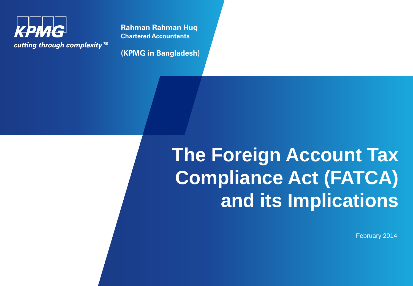

**Rahman Rahman Huq Chartered Accountants**

**(KPMG in Bangladesh)**

# **The Foreign Account Tax Compliance Act (FATCA) and its Implications**

February 2014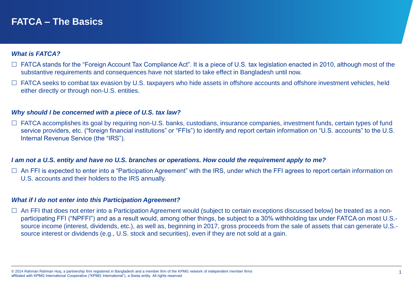## **FATCA – The Basics**

#### *What is FATCA?*

- $\Box$  FATCA stands for the "Foreign Account Tax Compliance Act". It is a piece of U.S. tax legislation enacted in 2010, although most of the substantive requirements and consequences have not started to take effect in Bangladesh until now.
- $\Box$  FATCA seeks to combat tax evasion by U.S. taxpayers who hide assets in offshore accounts and offshore investment vehicles, held either directly or through non-U.S. entities.

#### *Why should I be concerned with a piece of U.S. tax law?*

 $\Box$  FATCA accomplishes its goal by requiring non-U.S. banks, custodians, insurance companies, investment funds, certain types of fund service providers, etc. ("foreign financial institutions" or "FFIs") to identify and report certain information on "U.S. accounts" to the U.S. Internal Revenue Service (the "IRS").

#### *I am not a U.S. entity and have no U.S. branches or operations. How could the requirement apply to me?*

□ An FFI is expected to enter into a "Participation Agreement" with the IRS, under which the FFI agrees to report certain information on U.S. accounts and their holders to the IRS annually.

#### *What if I do not enter into this Participation Agreement?*

□ An FFI that does not enter into a Participation Agreement would (subject to certain exceptions discussed below) be treated as a nonparticipating FFI ("NPFFI") and as a result would, among other things, be subject to a 30% withholding tax under FATCA on most U.S. source income (interest, dividends, etc.), as well as, beginning in 2017, gross proceeds from the sale of assets that can generate U.S. source interest or dividends (e.g., U.S. stock and securities), even if they are not sold at a gain.

<sup>© 2014</sup> Rahman Rahman Huq, a partnership firm registered in Bangladesh and a member firm of the KPMG network of independent member firms 1 affiliated with KPMG International Cooperative ("KPMG International"), a Swiss entity. All rights reserved.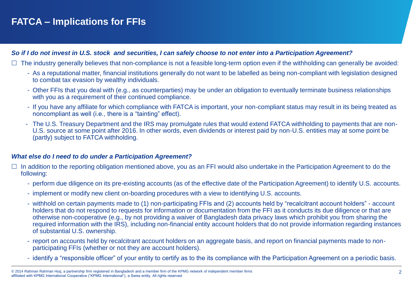# **FATCA – Implications for FFIs**

#### *So if I do not invest in U.S. stock and securities, I can safely choose to not enter into a Participation Agreement?*

- $\Box$  The industry generally believes that non-compliance is not a feasible long-term option even if the withholding can generally be avoided:
	- As a reputational matter, financial institutions generally do not want to be labelled as being non-compliant with legislation designed to combat tax evasion by wealthy individuals.
	- Other FFIs that you deal with (e.g., as counterparties) may be under an obligation to eventually terminate business relationships with you as a requirement of their continued compliance.
	- If you have any affiliate for which compliance with FATCA is important, your non-compliant status may result in its being treated as noncompliant as well (i.e., there is a "tainting" effect).
	- The U.S. Treasury Department and the IRS may promulgate rules that would extend FATCA withholding to payments that are non-U.S. source at some point after 2016. In other words, even dividends or interest paid by non-U.S. entities may at some point be (partly) subject to FATCA withholding.

#### *What else do I need to do under a Participation Agreement?*

- $\Box$  In addition to the reporting obligation mentioned above, you as an FFI would also undertake in the Participation Agreement to do the following:
	- perform due diligence on its pre-existing accounts (as of the effective date of the Participation Agreement) to identify U.S. accounts.
	- implement or modify new client on-boarding procedures with a view to identifying U.S. accounts.
	- withhold on certain payments made to (1) non-participating FFIs and (2) accounts held by "recalcitrant account holders" account holders that do not respond to requests for information or documentation from the FFI as it conducts its due diligence or that are otherwise non-cooperative (e.g., by not providing a waiver of Bangladesh data privacy laws which prohibit you from sharing the required information with the IRS), including non-financial entity account holders that do not provide information regarding instances of substantial U.S. ownership.
	- report on accounts held by recalcitrant account holders on an aggregate basis, and report on financial payments made to nonparticipating FFIs (whether or not they are account holders).
	- identify a "responsible officer" of your entity to certify as to the its compliance with the Participation Agreement on a periodic basis.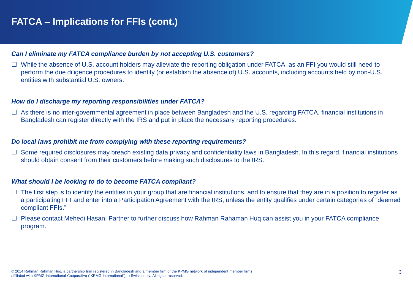#### *Can I eliminate my FATCA compliance burden by not accepting U.S. customers?*

 $\Box$  While the absence of U.S. account holders may alleviate the reporting obligation under FATCA, as an FFI you would still need to perform the due diligence procedures to identify (or establish the absence of) U.S. accounts, including accounts held by non-U.S. entities with substantial U.S. owners.

#### *How do I discharge my reporting responsibilities under FATCA?*

 $\Box$  As there is no inter-governmental agreement in place between Bangladesh and the U.S. regarding FATCA, financial institutions in Bangladesh can register directly with the IRS and put in place the necessary reporting procedures.

#### *Do local laws prohibit me from complying with these reporting requirements?*

 $\Box$  Some required disclosures may breach existing data privacy and confidentiality laws in Bangladesh. In this regard, financial institutions should obtain consent from their customers before making such disclosures to the IRS.

#### *What should I be looking to do to become FATCA compliant?*

- $\Box$  The first step is to identify the entities in your group that are financial institutions, and to ensure that they are in a position to register as a participating FFI and enter into a Participation Agreement with the IRS, unless the entity qualifies under certain categories of "deemed compliant FFIs."
- $\Box$  Please contact Mehedi Hasan, Partner to further discuss how Rahman Rahaman Huq can assist you in your FATCA compliance program.

<sup>© 2014</sup> Rahman Rahman Huq, a partnership firm registered in Bangladesh and a member firm of the KPMG network of independent member firms 3 affiliated with KPMG International Cooperative ("KPMG International"), a Swiss entity. All rights reserved.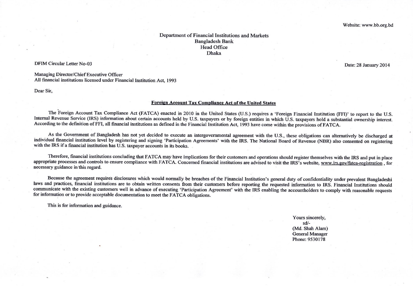#### Department of Financial Institutions and Markets **Bangladesh Bank Head Office Dhaka**

#### **DFIM Circular Letter No-03**

Managing Director/Chief Executive Officer All financial institutions licensed under Financial Institution Act, 1993

Dear Sir,

#### Foreign Account Tax Compliance Act of the United States

The Foreign Account Tax Compliance Act (FATCA) enacted in 2010 in the United States (U.S.) requires a 'Foreign Financial Institution (FFI)' to report to the U.S. Internal Revenue Service (IRS) information about certain accounts held by U.S. taxpayers or by foreign entities in which U.S. taxpayers hold a substantial ownership interest. According to the definition of FFI, all financial institutions as defined in the Financial Institution Act, 1993 have come within the provisions of FATCA.

As the Government of Bangladesh has not yet decided to execute an intergovernmental agreement with the U.S., these obligations can alternatively be discharged at individual financial institution level by registering and signing 'Participation Agreements' with the IRS. The National Board of Revenue (NBR) also consented on registering with the IRS if a financial institution has U.S. taxpayer accounts in its books.

Therefore, financial institutions concluding that FATCA may have implications for their customers and operations should register themselves with the IRS and put in place appropriate processes and controls to ensure compliance with FATCA. Concerned financial institutions are advised to visit the IRS's website, www.irs.gov/fatca-registration, for necessary guidance in this regard.

Because the agreement requires disclosures which would normally be breaches of the Financial Institution's general duty of confidentiality under prevalent Bangladeshi laws and practices, financial institutions are to obtain written consents from their customers before reporting the requested information to IRS. Financial Institutions should communicate with the existing customers well in advance of executing 'Participation Agreement' with the IRS enabling the accountholders to comply with reasonable requests for information or to provide acceptable documentation to meet the FATCA obligations.

This is for information and guidance.

Yours sincerely,  $sd/-$ (Md. Shah Alam) **General Manager** Phone: 9530178

Date: 28 January 2014